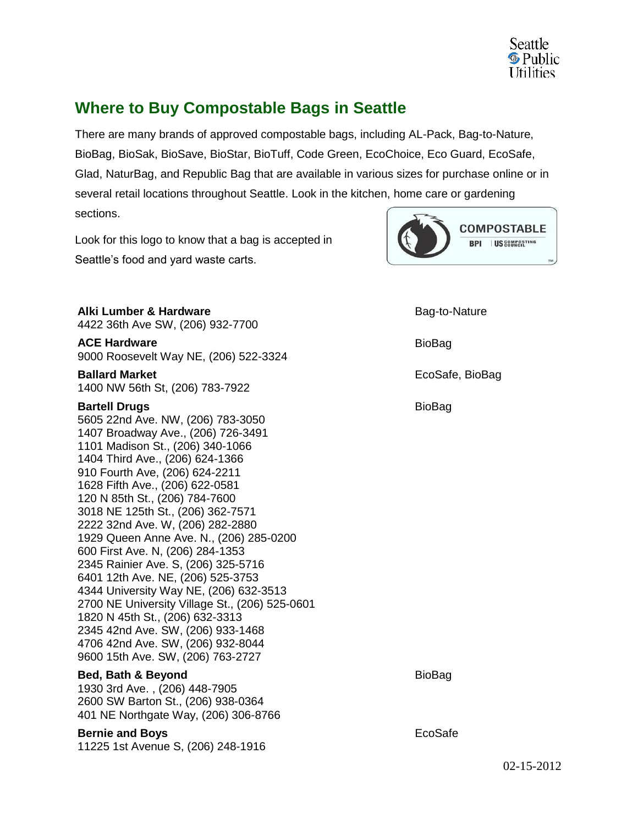

## **Where to Buy Compostable Bags in Seattle**

There are many brands of approved compostable bags, including AL-Pack, Bag-to-Nature, BioBag, BioSak, BioSave, BioStar, BioTuff, Code Green, EcoChoice, Eco Guard, EcoSafe, Glad, NaturBag, and Republic Bag that are available in various sizes for purchase online or in several retail locations throughout Seattle. Look in the kitchen, home care or gardening sections.

Look for this logo to know that a bag is accepted in Seattle's food and yard waste carts.



**Alki Lumber & Hardware** 4422 36th Ave SW, (206) 932-7700 **ACE Hardware**

9000 Roosevelt Way NE, (206) 522-3324

**Ballard Market** 1400 NW 56th St, (206) 783-7922

## **Bartell Drugs**

5605 22nd Ave. NW, (206) 783-3050 1407 Broadway Ave., (206) 726-3491 1101 Madison St., (206) 340-1066 1404 Third Ave., (206) 624-1366 910 Fourth Ave, (206) 624-2211 1628 Fifth Ave., (206) 622-0581 120 N 85th St., (206) 784-7600 3018 NE 125th St., (206) 362-7571 2222 32nd Ave. W, (206) 282-2880 1929 Queen Anne Ave. N., (206) 285-0200 600 First Ave. N, (206) 284-1353 2345 Rainier Ave. S, (206) 325-5716 6401 12th Ave. NE, (206) 525-3753 4344 University Way NE, (206) 632-3513 2700 NE University Village St., (206) 525-0601 1820 N 45th St., (206) 632-3313 2345 42nd Ave. SW, (206) 933-1468 4706 42nd Ave. SW, (206) 932-8044 9600 15th Ave. SW, (206) 763-2727

## **Bed, Bath & Beyond**

1930 3rd Ave. , (206) 448-7905 2600 SW Barton St., (206) 938-0364 401 NE Northgate Way, (206) 306-8766

## **Bernie and Boys**

11225 1st Avenue S, (206) 248-1916

Bag-to-Nature BioBag EcoSafe, BioBag BioBag

BioBag

EcoSafe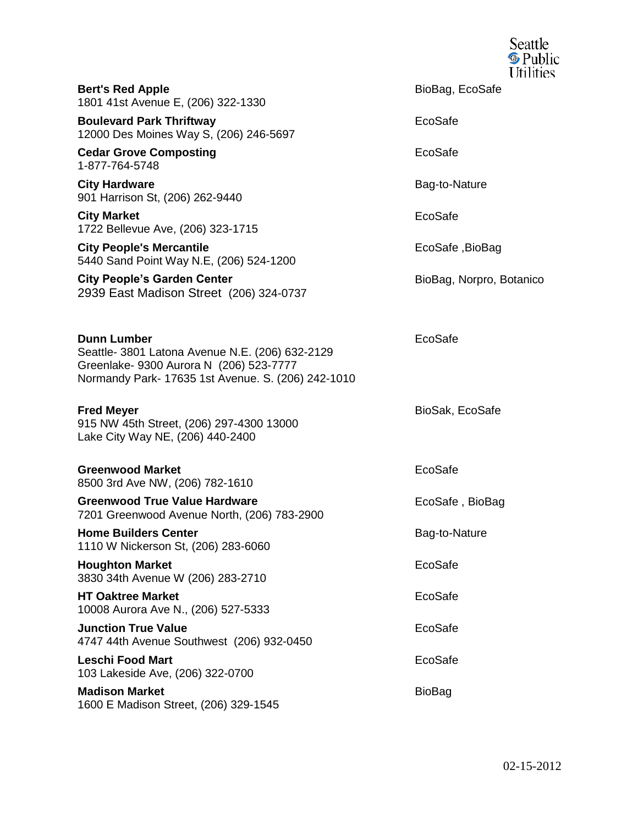|                                                                                                                                                                        | Seattle<br><b>S</b> Public<br><b>Utilities</b> |
|------------------------------------------------------------------------------------------------------------------------------------------------------------------------|------------------------------------------------|
| <b>Bert's Red Apple</b><br>1801 41st Avenue E, (206) 322-1330                                                                                                          | BioBag, EcoSafe                                |
| <b>Boulevard Park Thriftway</b><br>12000 Des Moines Way S, (206) 246-5697                                                                                              | EcoSafe                                        |
| <b>Cedar Grove Composting</b><br>1-877-764-5748                                                                                                                        | EcoSafe                                        |
| <b>City Hardware</b><br>901 Harrison St, (206) 262-9440                                                                                                                | Bag-to-Nature                                  |
| <b>City Market</b><br>1722 Bellevue Ave, (206) 323-1715                                                                                                                | EcoSafe                                        |
| <b>City People's Mercantile</b><br>5440 Sand Point Way N.E, (206) 524-1200                                                                                             | EcoSafe, BioBag                                |
| <b>City People's Garden Center</b><br>2939 East Madison Street (206) 324-0737                                                                                          | BioBag, Norpro, Botanico                       |
| <b>Dunn Lumber</b><br>Seattle- 3801 Latona Avenue N.E. (206) 632-2129<br>Greenlake- 9300 Aurora N (206) 523-7777<br>Normandy Park- 17635 1st Avenue. S. (206) 242-1010 | EcoSafe                                        |
| <b>Fred Meyer</b><br>915 NW 45th Street, (206) 297-4300 13000<br>Lake City Way NE, (206) 440-2400                                                                      | BioSak, EcoSafe                                |
| <b>Greenwood Market</b><br>8500 3rd Ave NW, (206) 782-1610                                                                                                             | EcoSafe                                        |
| <b>Greenwood True Value Hardware</b><br>7201 Greenwood Avenue North, (206) 783-2900                                                                                    | EcoSafe, BioBag                                |
| <b>Home Builders Center</b><br>1110 W Nickerson St, (206) 283-6060                                                                                                     | Bag-to-Nature                                  |
| <b>Houghton Market</b><br>3830 34th Avenue W (206) 283-2710                                                                                                            | EcoSafe                                        |
| <b>HT Oaktree Market</b><br>10008 Aurora Ave N., (206) 527-5333                                                                                                        | EcoSafe                                        |
| <b>Junction True Value</b><br>4747 44th Avenue Southwest (206) 932-0450                                                                                                | EcoSafe                                        |
| <b>Leschi Food Mart</b><br>103 Lakeside Ave, (206) 322-0700                                                                                                            | EcoSafe                                        |
| <b>Madison Market</b><br>1600 E Madison Street, (206) 329-1545                                                                                                         | <b>BioBag</b>                                  |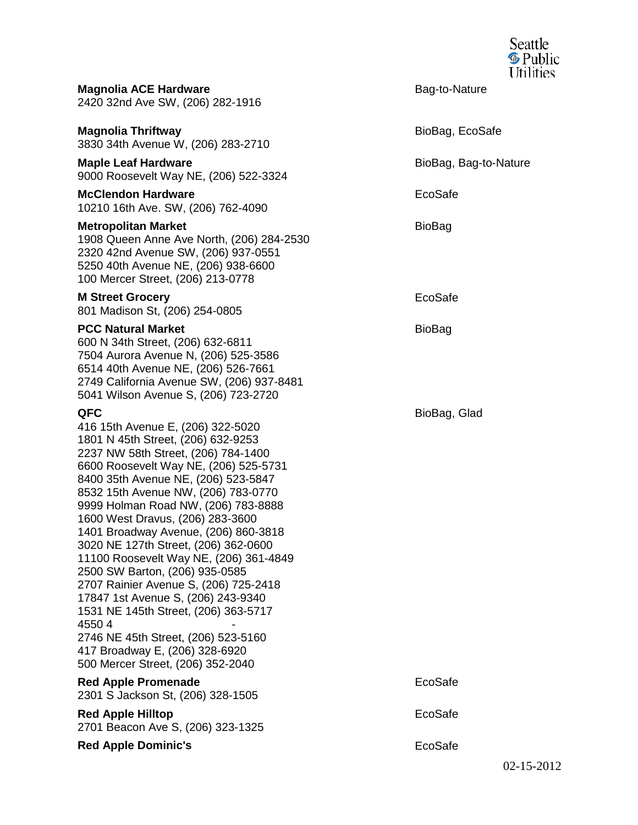|                                                                                                                                                                                                                                                                                                                                                                                                                                                                                                                                                                                                                                                                                                                                   |                       | Seattle<br><b>S</b> Public<br><b>Utilities</b> |
|-----------------------------------------------------------------------------------------------------------------------------------------------------------------------------------------------------------------------------------------------------------------------------------------------------------------------------------------------------------------------------------------------------------------------------------------------------------------------------------------------------------------------------------------------------------------------------------------------------------------------------------------------------------------------------------------------------------------------------------|-----------------------|------------------------------------------------|
| <b>Magnolia ACE Hardware</b><br>2420 32nd Ave SW, (206) 282-1916                                                                                                                                                                                                                                                                                                                                                                                                                                                                                                                                                                                                                                                                  | Bag-to-Nature         |                                                |
| <b>Magnolia Thriftway</b><br>3830 34th Avenue W, (206) 283-2710                                                                                                                                                                                                                                                                                                                                                                                                                                                                                                                                                                                                                                                                   | BioBag, EcoSafe       |                                                |
| <b>Maple Leaf Hardware</b><br>9000 Roosevelt Way NE, (206) 522-3324                                                                                                                                                                                                                                                                                                                                                                                                                                                                                                                                                                                                                                                               | BioBag, Bag-to-Nature |                                                |
| <b>McClendon Hardware</b><br>10210 16th Ave. SW, (206) 762-4090                                                                                                                                                                                                                                                                                                                                                                                                                                                                                                                                                                                                                                                                   | EcoSafe               |                                                |
| <b>Metropolitan Market</b><br>1908 Queen Anne Ave North, (206) 284-2530<br>2320 42nd Avenue SW, (206) 937-0551<br>5250 40th Avenue NE, (206) 938-6600<br>100 Mercer Street, (206) 213-0778                                                                                                                                                                                                                                                                                                                                                                                                                                                                                                                                        | BioBag                |                                                |
| <b>M Street Grocery</b><br>801 Madison St, (206) 254-0805                                                                                                                                                                                                                                                                                                                                                                                                                                                                                                                                                                                                                                                                         | EcoSafe               |                                                |
| <b>PCC Natural Market</b><br>600 N 34th Street, (206) 632-6811<br>7504 Aurora Avenue N, (206) 525-3586<br>6514 40th Avenue NE, (206) 526-7661<br>2749 California Avenue SW, (206) 937-8481<br>5041 Wilson Avenue S, (206) 723-2720                                                                                                                                                                                                                                                                                                                                                                                                                                                                                                | BioBag                |                                                |
| QFC<br>416 15th Avenue E, (206) 322-5020<br>1801 N 45th Street, (206) 632-9253<br>2237 NW 58th Street, (206) 784-1400<br>6600 Roosevelt Way NE, (206) 525-5731<br>8400 35th Avenue NE, (206) 523-5847<br>8532 15th Avenue NW, (206) 783-0770<br>9999 Holman Road NW, (206) 783-8888<br>1600 West Dravus, (206) 283-3600<br>1401 Broadway Avenue, (206) 860-3818<br>3020 NE 127th Street, (206) 362-0600<br>11100 Roosevelt Way NE, (206) 361-4849<br>2500 SW Barton, (206) 935-0585<br>2707 Rainier Avenue S, (206) 725-2418<br>17847 1st Avenue S, (206) 243-9340<br>1531 NE 145th Street, (206) 363-5717<br>45504<br>2746 NE 45th Street, (206) 523-5160<br>417 Broadway E, (206) 328-6920<br>500 Mercer Street, (206) 352-2040 | BioBag, Glad          |                                                |
| <b>Red Apple Promenade</b><br>2301 S Jackson St, (206) 328-1505                                                                                                                                                                                                                                                                                                                                                                                                                                                                                                                                                                                                                                                                   | EcoSafe               |                                                |
| <b>Red Apple Hilltop</b><br>2701 Beacon Ave S, (206) 323-1325                                                                                                                                                                                                                                                                                                                                                                                                                                                                                                                                                                                                                                                                     | EcoSafe               |                                                |
| <b>Red Apple Dominic's</b>                                                                                                                                                                                                                                                                                                                                                                                                                                                                                                                                                                                                                                                                                                        | EcoSafe               |                                                |